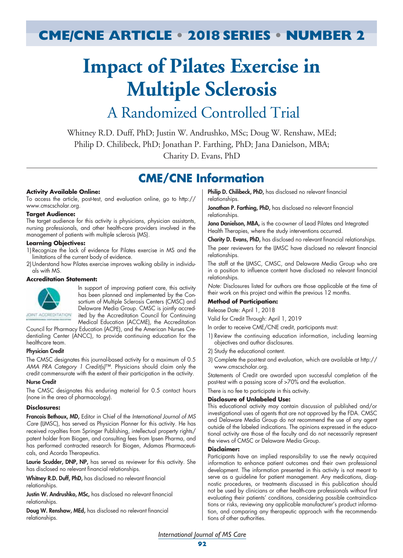# **CME/CNE ARTICLE • 2018 SERIES • NUMBER 2**

# **Impact of Pilates Exercise in Multiple Sclerosis**

# A Randomized Controlled Trial

Whitney R.D. Duff, PhD; Justin W. Andrushko, MSc; Doug W. Renshaw, MEd; Philip D. Chilibeck, PhD; Jonathan P. Farthing, PhD; Jana Danielson, MBA; Charity D. Evans, PhD

# **CME/CNE Information**

#### **Activity Available Online:**

To access the article, post-test, and evaluation online, go to http:// www.cmscscholar.org.

#### **Target Audience:**

The target audience for this activity is physicians, physician assistants, nursing professionals, and other health-care providers involved in the management of patients with multiple sclerosis (MS).

#### **Learning Objectives:**

- 1)Recognize the lack of evidence for Pilates exercise in MS and the limitations of the current body of evidence.
- 2)Understand how Pilates exercise improves walking ability in individuals with MS.

#### **Accreditation Statement:**



In support of improving patient care, this activity has been planned and implemented by the Consortium of Multiple Sclerosis Centers (CMSC) and Delaware Media Group. CMSC is jointly accredited by the Accreditation Council for Continuing Medical Education (ACCME), the Accreditation

Council for Pharmacy Education (ACPE), and the American Nurses Credentialing Center (ANCC), to provide continuing education for the healthcare team.

#### Physician Credit

The CMSC designates this journal-based activity for a maximum of 0.5 *AMA PRA Category 1 Credit(s)*™. Physicians should claim only the credit commensurate with the extent of their participation in the activity.

#### Nurse Credit

The CMSC designates this enduring material for 0.5 contact hours (none in the area of pharmacology).

#### **Disclosures:**

Francois Bethoux, MD, Editor in Chief of the *International Journal of MS Care* (IJMSC), has served as Physician Planner for this activity. He has received royalties from Springer Publishing, intellectual property rights/ patent holder from Biogen, and consulting fees from Ipsen Pharma, and has performed contracted research for Biogen, Adamas Pharmaceuticals, and Acorda Therapeutics.

Laurie Scudder, DNP, NP, has served as reviewer for this activity. She has disclosed no relevant financial relationships.

Whitney R.D. Duff, PhD, has disclosed no relevant financial relationships.

Justin W. Andrushko, MSc, has disclosed no relevant financial relationships.

Doug W. Renshaw, MEd, has disclosed no relevant financial relationships.

Philip D. Chilibeck, PhD, has disclosed no relevant financial relationships.

Jonathan P. Farthing, PhD, has disclosed no relevant financial relationships.

Jana Danielson, MBA, is the co-owner of Lead Pilates and Integrated Health Therapies, where the study interventions occurred.

Charity D. Evans, PhD, has disclosed no relevant financial relationships.

The peer reviewers for the IJMSC have disclosed no relevant financial relationships.

The staff at the IJMSC, CMSC, and Delaware Media Group who are in a position to influence content have disclosed no relevant financial relationships.

*Note:* Disclosures listed for authors are those applicable at the time of their work on this project and within the previous 12 months.

### **Method of Participation:**

Release Date: April 1, 2018

Valid for Credit Through: April 1, 2019

In order to receive CME/CNE credit, participants must:

- 1) Review the continuing education information, including learning objectives and author disclosures.
- 2) Study the educational content.
- 3) Complete the post-test and evaluation, which are available at http:// www.cmscscholar.org.

Statements of Credit are awarded upon successful completion of the post-test with a passing score of >70% and the evaluation.

There is no fee to participate in this activity.

#### **Disclosure of Unlabeled Use:**

This educational activity may contain discussion of published and/or investigational uses of agents that are not approved by the FDA. CMSC and Delaware Media Group do not recommend the use of any agent outside of the labeled indications. The opinions expressed in the educational activity are those of the faculty and do not necessarily represent the views of CMSC or Delaware Media Group.

#### **Disclaimer:**

Participants have an implied responsibility to use the newly acquired information to enhance patient outcomes and their own professional development. The information presented in this activity is not meant to serve as a guideline for patient management. Any medications, diagnostic procedures, or treatments discussed in this publication should not be used by clinicians or other health-care professionals without first evaluating their patients' conditions, considering possible contraindications or risks, reviewing any applicable manufacturer's product information, and comparing any therapeutic approach with the recommendations of other authorities.

*International Journal of MS Care*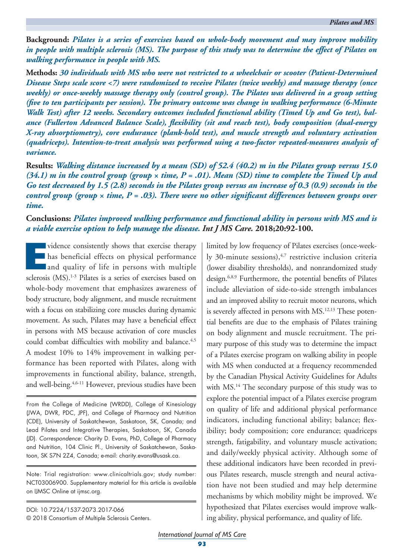**Background:** *Pilates is a series of exercises based on whole-body movement and may improve mobility in people with multiple sclerosis (MS). The purpose of this study was to determine the effect of Pilates on walking performance in people with MS.* 

**Methods:** *30 individuals with MS who were not restricted to a wheelchair or scooter (Patient-Determined Disease Steps scale score <7) were randomized to receive Pilates (twice weekly) and massage therapy (once weekly) or once-weekly massage therapy only (control group). The Pilates was delivered in a group setting (five to ten participants per session). The primary outcome was change in walking performance (6-Minute Walk Test) after 12 weeks. Secondary outcomes included functional ability (Timed Up and Go test), balance (Fullerton Advanced Balance Scale), flexibility (sit and reach test), body composition (dual-energy X-ray absorptiometry), core endurance (plank-hold test), and muscle strength and voluntary activation (quadriceps). Intention-to-treat analysis was performed using a two-factor repeated-measures analysis of variance.* 

**Results:** *Walking distance increased by a mean (SD) of 52.4 (40.2) m in the Pilates group versus 15.0*   $(34.1)$  m in the control group (group  $\times$  time,  $P = .01$ ). Mean (SD) time to complete the Timed Up and *Go test decreased by 1.5 (2.8) seconds in the Pilates group versus an increase of 0.3 (0.9) seconds in the control group (group*  $\times$  *time, P = .03). There were no other significant differences between groups over time.*

**Conclusions:** *Pilates improved walking performance and functional ability in persons with MS and is a viable exercise option to help manage the disease. Int J MS Care.* **2018;20:92-100.**

vidence consistently shows that exercise therapy<br>has beneficial effects on physical performance<br>and quality of life in persons with multiple<br>seleccise (MS) <sup>1-3</sup> Pilotes is a sories of exercises beard on has beneficial effects on physical performance and quality of life in persons with multiple sclerosis (MS).<sup>1-3</sup> Pilates is a series of exercises based on whole-body movement that emphasizes awareness of body structure, body alignment, and muscle recruitment with a focus on stabilizing core muscles during dynamic movement. As such, Pilates may have a beneficial effect in persons with MS because activation of core muscles could combat difficulties with mobility and balance.<sup>4,5</sup> A modest 10% to 14% improvement in walking performance has been reported with Pilates, along with improvements in functional ability, balance, strength, and well-being.<sup>4,6-11</sup> However, previous studies have been

From the College of Medicine (WRDD), College of Kinesiology (JWA, DWR, PDC, JPF), and College of Pharmacy and Nutrition (CDE), University of Saskatchewan, Saskatoon, SK, Canada; and Lead Pilates and Integrative Therapies, Saskatoon, SK, Canada (JD). *Correspondence:* Charity D. Evans, PhD, College of Pharmacy and Nutrition, 104 Clinic Pl., University of Saskatchewan, Saskatoon, SK S7N 2Z4, Canada; e-mail: charity.evans@usask.ca.

Note: Trial registration: www.clinicaltrials.gov; study number: NCT03006900. Supplementary material for this article is available on IJMSC Online at ijmsc.org.

DOI: 10.7224/1537-2073.2017-066 © 2018 Consortium of Multiple Sclerosis Centers. limited by low frequency of Pilates exercises (once-weekly 30-minute sessions), $4,7$  restrictive inclusion criteria (lower disability thresholds), and nonrandomized study design.6,8,9 Furthermore, the potential benefits of Pilates include alleviation of side-to-side strength imbalances and an improved ability to recruit motor neurons, which is severely affected in persons with MS.<sup>12,13</sup> These potential benefits are due to the emphasis of Pilates training on body alignment and muscle recruitment. The primary purpose of this study was to determine the impact of a Pilates exercise program on walking ability in people with MS when conducted at a frequency recommended by the Canadian Physical Activity Guidelines for Adults with MS.<sup>14</sup> The secondary purpose of this study was to explore the potential impact of a Pilates exercise program on quality of life and additional physical performance indicators, including functional ability; balance; flexibility; body composition; core endurance; quadriceps strength, fatigability, and voluntary muscle activation; and daily/weekly physical activity. Although some of these additional indicators have been recorded in previous Pilates research, muscle strength and neural activation have not been studied and may help determine mechanisms by which mobility might be improved. We hypothesized that Pilates exercises would improve walking ability, physical performance, and quality of life.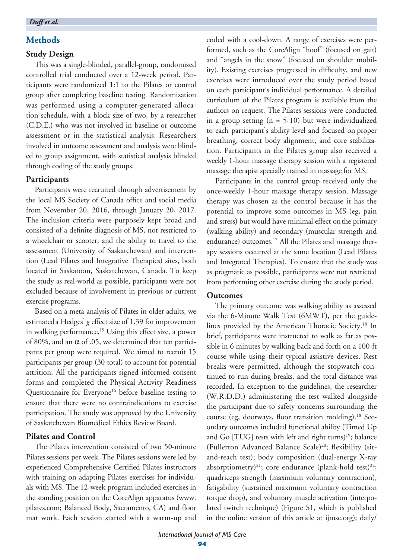# **Methods**

# **Study Design**

This was a single-blinded, parallel-group, randomized controlled trial conducted over a 12-week period. Participants were randomized 1:1 to the Pilates or control group after completing baseline testing. Randomization was performed using a computer-generated allocation schedule, with a block size of two, by a researcher (C.D.E.) who was not involved in baseline or outcome assessment or in the statistical analysis. Researchers involved in outcome assessment and analysis were blinded to group assignment, with statistical analysis blinded through coding of the study groups.

# **Participants**

Participants were recruited through advertisement by the local MS Society of Canada office and social media from November 20, 2016, through January 20, 2017. The inclusion criteria were purposely kept broad and consisted of a definite diagnosis of MS, not restricted to a wheelchair or scooter, and the ability to travel to the assessment (University of Saskatchewan) and intervention (Lead Pilates and Integrative Therapies) sites, both located in Saskatoon, Saskatchewan, Canada. To keep the study as real-world as possible, participants were not excluded because of involvement in previous or current exercise programs.

Based on a meta-analysis of Pilates in older adults, we estimated a Hedges' *g* effect size of 1.39 for improvement in walking performance.<sup>15</sup> Using this effect size, a power of 80%, and an  $\alpha$  of .05, we determined that ten participants per group were required. We aimed to recruit 15 participants per group (30 total) to account for potential attrition. All the participants signed informed consent forms and completed the Physical Activity Readiness Questionnaire for Everyone<sup>16</sup> before baseline testing to ensure that there were no contraindications to exercise participation. The study was approved by the University of Saskatchewan Biomedical Ethics Review Board.

# **Pilates and Control**

The Pilates intervention consisted of two 50-minute Pilates sessions per week. The Pilates sessions were led by experienced Comprehensive Certified Pilates instructors with training on adapting Pilates exercises for individuals with MS. The 12-week program included exercises in the standing position on the CoreAlign apparatus (www. pilates.com; Balanced Body, Sacramento, CA) and floor mat work. Each session started with a warm-up and ended with a cool-down. A range of exercises were performed, such as the CoreAlign "hoof" (focused on gait) and "angels in the snow" (focused on shoulder mobility). Existing exercises progressed in difficulty, and new exercises were introduced over the study period based on each participant's individual performance. A detailed curriculum of the Pilates program is available from the authors on request. The Pilates sessions were conducted in a group setting  $(n = 5-10)$  but were individualized to each participant's ability level and focused on proper breathing, correct body alignment, and core stabilization. Participants in the Pilates group also received a weekly 1-hour massage therapy session with a registered massage therapist specially trained in massage for MS.

Participants in the control group received only the once-weekly 1-hour massage therapy session. Massage therapy was chosen as the control because it has the potential to improve some outcomes in MS (eg, pain and stress) but would have minimal effect on the primary (walking ability) and secondary (muscular strength and endurance) outcomes.<sup>17</sup> All the Pilates and massage therapy sessions occurred at the same location (Lead Pilates and Integrated Therapies). To ensure that the study was as pragmatic as possible, participants were not restricted from performing other exercise during the study period.

# **Outcomes**

The primary outcome was walking ability as assessed via the 6-Minute Walk Test (6MWT), per the guidelines provided by the American Thoracic Society.<sup>18</sup> In brief, participants were instructed to walk as far as possible in 6 minutes by walking back and forth on a 100-ft course while using their typical assistive devices. Rest breaks were permitted, although the stopwatch continued to run during breaks, and the total distance was recorded. In exception to the guidelines, the researcher (W.R.D.D.) administering the test walked alongside the participant due to safety concerns surrounding the course (eg, doorways, floor transition molding).18 Secondary outcomes included functional ability (Timed Up and Go [TUG] tests with left and right turns)<sup>19</sup>; balance (Fullerton Advanced Balance Scale)<sup>20</sup>; flexibility (sitand-reach test); body composition (dual-energy X-ray absorptiometry)<sup>21</sup>; core endurance (plank-hold test)<sup>22</sup>; quadriceps strength (maximum voluntary contraction), fatigability (sustained maximum voluntary contraction torque drop), and voluntary muscle activation (interpolated twitch technique) (Figure S1, which is published in the online version of this article at ijmsc.org); daily/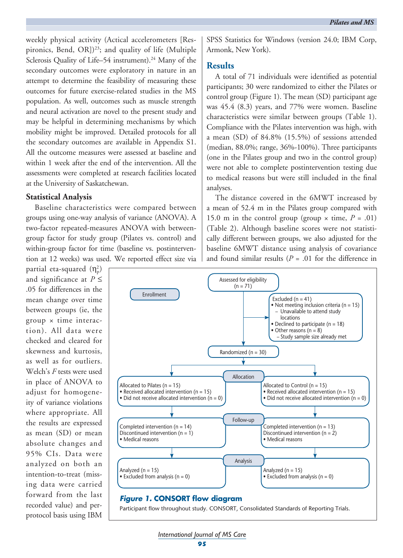weekly physical activity (Actical accelerometers [Respironics, Bend, OR])<sup>23</sup>; and quality of life (Multiple Sclerosis Quality of Life–54 instrument).<sup>24</sup> Many of the secondary outcomes were exploratory in nature in an attempt to determine the feasibility of measuring these outcomes for future exercise-related studies in the MS population. As well, outcomes such as muscle strength and neural activation are novel to the present study and may be helpful in determining mechanisms by which mobility might be improved. Detailed protocols for all the secondary outcomes are available in Appendix S1. All the outcome measures were assessed at baseline and within 1 week after the end of the intervention. All the assessments were completed at research facilities located at the University of Saskatchewan.

### **Statistical Analysis**

Baseline characteristics were compared between groups using one-way analysis of variance (ANOVA). A two-factor repeated-measures ANOVA with betweengroup factor for study group (Pilates vs. control) and within-group factor for time (baseline vs. postintervention at 12 weeks) was used. We reported effect size via

partial eta-squared  $(\eta_{\rm p}^2)$ and significance at  $P \leq$ .05 for differences in the mean change over time between groups (ie, the  $group \times time$  interaction). All data were checked and cleared for skewness and kurtosis, as well as for outliers. Welch's *F* tests were used in place of ANOVA to adjust for homogeneity of variance violations where appropriate. All the results are expressed as mean (SD) or mean absolute changes and 95% CIs. Data were analyzed on both an intention-to-treat (missing data were carried forward from the last recorded value) and perprotocol basis using IBM

SPSS Statistics for Windows (version 24.0; IBM Corp, Armonk, New York).

### **Results**

A total of 71 individuals were identified as potential participants; 30 were randomized to either the Pilates or control group (Figure 1). The mean (SD) participant age was 45.4 (8.3) years, and 77% were women. Baseline characteristics were similar between groups (Table 1). Compliance with the Pilates intervention was high, with a mean (SD) of 84.8% (15.5%) of sessions attended (median, 88.0%; range, 36%-100%). Three participants (one in the Pilates group and two in the control group) were not able to complete postintervention testing due to medical reasons but were still included in the final analyses.

The distance covered in the 6MWT increased by a mean of 52.4 m in the Pilates group compared with 15.0 m in the control group (group  $\times$  time,  $P = .01$ ) (Table 2). Although baseline scores were not statistically different between groups, we also adjusted for the baseline 6MWT distance using analysis of covariance and found similar results  $(P = .01)$  for the difference in

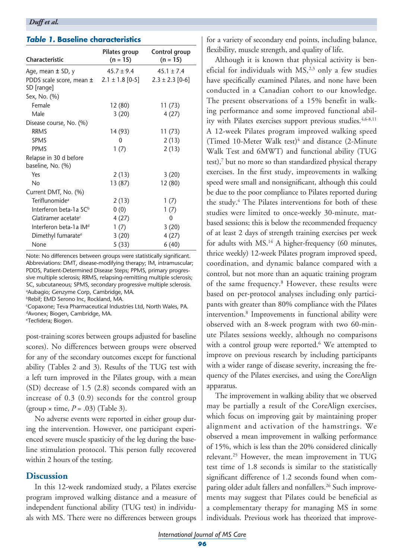# *Table 1.* **Baseline characteristics**

| Characteristic                     | Pilates group<br>$(n = 15)$ | Control group<br>$(n = 15)$ |
|------------------------------------|-----------------------------|-----------------------------|
| Age, mean $\pm$ SD, y              | $45.7 \pm 9.4$              | $45.1 \pm 7.4$              |
| PDDS scale score, mean ±           | $2.1 \pm 1.8$ [0-5]         | $2.3 \pm 2.3$ [0-6]         |
| SD [range]                         |                             |                             |
| Sex, No. (%)                       |                             |                             |
| Female                             | 12(80)                      | 11(73)                      |
| Male                               | 3(20)                       | 4(27)                       |
| Disease course, No. (%)            |                             |                             |
| <b>RRMS</b>                        | 14 (93)                     | 11 (73)                     |
| <b>SPMS</b>                        | 0                           | 2(13)                       |
| <b>PPMS</b>                        | 1(7)                        | 2(13)                       |
| Relapse in 30 d before             |                             |                             |
| baseline, No. (%)                  |                             |                             |
| Yes                                | 2(13)                       | 3(20)                       |
| No                                 | 13 (87)                     | 12(80)                      |
| Current DMT, No. (%)               |                             |                             |
| Teriflunomide <sup>a</sup>         | 2(13)                       | 1(7)                        |
| Interferon beta-1a SC <sup>b</sup> | 0(0)                        | 1(7)                        |
| Glatiramer acetate <sup>c</sup>    | 4(27)                       | 0                           |
| Interferon beta-1a IM <sup>d</sup> | 1(7)                        | 3(20)                       |
| Dimethyl fumarate <sup>e</sup>     | 3(20)                       | 4(27)                       |
| None                               | 5(33)                       | 6(40)                       |

Note: No differences between groups were statistically significant. Abbreviations: DMT, disease-modifying therapy; IM, intramuscular; PDDS, Patient-Determined Disease Steps; PPMS, primary progressive multiple sclerosis; RRMS, relapsing-remitting multiple sclerosis; SC, subcutaneous; SPMS, secondary progressive multiple sclerosis. a Aubagio; Genzyme Corp, Cambridge, MA.

**bRebif; EMD Serono Inc, Rockland, MA.** 

c Copaxone; Teva Pharmaceutical Industries Ltd, North Wales, PA. dAvonex; Biogen, Cambridge, MA.

e Tecfidera; Biogen.

post-training scores between groups adjusted for baseline scores). No differences between groups were observed for any of the secondary outcomes except for functional ability (Tables 2 and 3). Results of the TUG test with a left turn improved in the Pilates group, with a mean (SD) decrease of 1.5 (2.8) seconds compared with an increase of 0.3 (0.9) seconds for the control group (group × time, *P* = .03) (Table 3).

No adverse events were reported in either group during the intervention. However, one participant experienced severe muscle spasticity of the leg during the baseline stimulation protocol. This person fully recovered within 2 hours of the testing.

# **Discussion**

In this 12-week randomized study, a Pilates exercise program improved walking distance and a measure of independent functional ability (TUG test) in individuals with MS. There were no differences between groups for a variety of secondary end points, including balance, flexibility, muscle strength, and quality of life.

Although it is known that physical activity is beneficial for individuals with  $MS<sub>1</sub><sup>2,3</sup>$  only a few studies have specifically examined Pilates, and none have been conducted in a Canadian cohort to our knowledge. The present observations of a 15% benefit in walking performance and some improved functional ability with Pilates exercises support previous studies.<sup>4,6-8,11</sup> A 12-week Pilates program improved walking speed (Timed 10-Meter Walk test) $4$  and distance (2-Minute Walk Test and 6MWT) and functional ability (TUG test),7 but no more so than standardized physical therapy exercises. In the first study, improvements in walking speed were small and nonsignificant, although this could be due to the poor compliance to Pilates reported during the study.<sup>4</sup> The Pilates interventions for both of these studies were limited to once-weekly 30-minute, matbased sessions; this is below the recommended frequency of at least 2 days of strength training exercises per week for adults with MS.<sup>14</sup> A higher-frequency (60 minutes, thrice weekly) 12-week Pilates program improved speed, coordination, and dynamic balance compared with a control, but not more than an aquatic training program of the same frequency.<sup>8</sup> However, these results were based on per-protocol analyses including only participants with greater than 80% compliance with the Pilates intervention.8 Improvements in functional ability were observed with an 8-week program with two 60-minute Pilates sessions weekly, although no comparisons with a control group were reported.<sup>6</sup> We attempted to improve on previous research by including participants with a wider range of disease severity, increasing the frequency of the Pilates exercises, and using the CoreAlign apparatus.

The improvement in walking ability that we observed may be partially a result of the CoreAlign exercises, which focus on improving gait by maintaining proper alignment and activation of the hamstrings. We observed a mean improvement in walking performance of 15%, which is less than the 20% considered clinically relevant.25 However, the mean improvement in TUG test time of 1.8 seconds is similar to the statistically significant difference of 1.2 seconds found when comparing older adult fallers and nonfallers.<sup>26</sup> Such improvements may suggest that Pilates could be beneficial as a complementary therapy for managing MS in some individuals. Previous work has theorized that improve-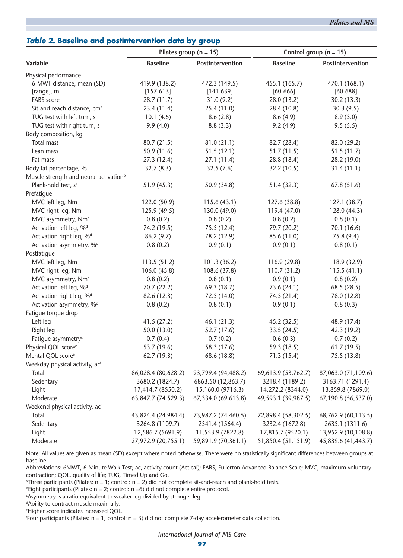# *International Journal of MS Care*

# *Table 2.* **Baseline and postintervention data by group**

|                                                    | Pilates group ( $n = 15$ ) |                     | Control group ( $n = 15$ ) |                     |
|----------------------------------------------------|----------------------------|---------------------|----------------------------|---------------------|
| Variable                                           | <b>Baseline</b>            | Postintervention    | <b>Baseline</b>            | Postintervention    |
| Physical performance                               |                            |                     |                            |                     |
| 6-MWT distance, mean (SD)                          | 419.9 (138.2)              | 472.3 (149.5)       | 455.1 (165.7)              | 470.1 (168.1)       |
| [range], m                                         | $[157-613]$                | $[141-639]$         | $[60 - 666]$               | $[60 - 688]$        |
| FABS score                                         | 28.7(11.7)                 | 31.0(9.2)           | 28.0 (13.2)                | 30.2 (13.3)         |
| Sit-and-reach distance, cm <sup>a</sup>            | 23.4(11.4)                 | 25.4 (11.0)         | 28.4 (10.8)                | 30.3(9.5)           |
| TUG test with left turn, s                         | 10.1(4.6)                  | 8.6(2.8)            | 8.6(4.9)                   | 8.9(5.0)            |
| TUG test with right turn, s                        | 9.9(4.0)                   | 8.8(3.3)            | 9.2(4.9)                   | 9.5(5.5)            |
| Body composition, kg                               |                            |                     |                            |                     |
| Total mass                                         | 80.7 (21.5)                | 81.0(21.1)          | 82.7 (28.4)                | 82.0 (29.2)         |
| Lean mass                                          | 50.9(11.6)                 | 51.5(12.1)          | 51.7(11.5)                 | 51.5(11.7)          |
| Fat mass                                           | 27.3(12.4)                 | 27.1(11.4)          | 28.8 (18.4)                | 28.2 (19.0)         |
| Body fat percentage, %                             | 32.7(8.3)                  | 32.5(7.6)           | 32.2 (10.5)                | 31.4(11.1)          |
| Muscle strength and neural activation <sup>b</sup> |                            |                     |                            |                     |
| Plank-hold test, s <sup>a</sup>                    | 51.9(45.3)                 | 50.9 (34.8)         | 51.4(32.3)                 | 67.8 (51.6)         |
| Prefatigue                                         |                            |                     |                            |                     |
| MVC left leg, Nm                                   | 122.0 (50.9)               | 115.6(43.1)         | 127.6 (38.8)               | 127.1(38.7)         |
| MVC right leg, Nm                                  | 125.9 (49.5)               | 130.0 (49.0)        | 119.4 (47.0)               | 128.0 (44.3)        |
| MVC asymmetry, Nmc                                 | 0.8(0.2)                   | 0.8(0.2)            | 0.8(0.2)                   | 0.8(0.1)            |
| Activation left leg, % <sup>d</sup>                | 74.2 (19.5)                | 75.5 (12.4)         | 79.7 (20.2)                | 70.1 (16.6)         |
| Activation right leg, %d                           | 86.2(9.7)                  | 78.2 (12.9)         | 85.6 (11.0)                | 75.8(9.4)           |
| Activation asymmetry, %c                           | 0.8(0.2)                   | 0.9(0.1)            | 0.9(0.1)                   | 0.8(0.1)            |
| Postfatigue                                        |                            |                     |                            |                     |
| MVC left leg, Nm                                   | 113.5(51.2)                | 101.3(36.2)         | 116.9(29.8)                | 118.9 (32.9)        |
| MVC right leg, Nm                                  | 106.0 (45.8)               | 108.6 (37.8)        | 110.7(31.2)                | 115.5(41.1)         |
| MVC asymmetry, Nmc                                 | 0.8(0.2)                   | 0.8(0.1)            | 0.9(0.1)                   | 0.8(0.2)            |
| Activation left leg, %d                            | 70.7 (22.2)                | 69.3 (18.7)         | 73.6 (24.1)                | 68.5 (28.5)         |
| Activation right leg, %d                           | 82.6 (12.3)                | 72.5 (14.0)         | 74.5 (21.4)                | 78.0 (12.8)         |
| Activation asymmetry, %c                           | 0.8(0.2)                   | 0.8(0.1)            | 0.9(0.1)                   | 0.8(0.3)            |
| Fatigue torque drop                                |                            |                     |                            |                     |
| Left leg                                           | 41.5(27.2)                 | 46.1(21.3)          | 45.2 (32.5)                | 48.9 (17.4)         |
| Right leg                                          | 50.0(13.0)                 | 52.7 (17.6)         | 33.5 (24.5)                | 42.3 (19.2)         |
| Fatigue asymmetry <sup>c</sup>                     | 0.7(0.4)                   | 0.7(0.2)            | 0.6(0.3)                   | 0.7(0.2)            |
| Physical QOL score <sup>e</sup>                    | 53.7 (19.6)                | 58.3 (17.6)         | 59.3 (18.5)                | 61.7(19.5)          |
| Mental QOL score <sup>e</sup>                      | 62.7 (19.3)                | 68.6 (18.8)         | 71.3 (15.4)                | 75.5 (13.8)         |
| Weekday physical activity, ac <sup>f</sup>         |                            |                     |                            |                     |
| Total                                              | 86,028.4 (80,628.2)        | 93,799.4 (94,488.2) | 69,613.9 (53,762.7)        | 87,063.0 (71,109.6) |
| Sedentary                                          | 3680.2 (1824.7)            | 6863.50 (12,863.7)  | 3218.4 (1189.2)            | 3163.71 (1291.4)    |
| Light                                              | 17,414.7 (8550.2)          | 15,160.0 (9716.3)   | 14,272.2 (8344.0)          | 13,859.8 (7869.0)   |
| Moderate                                           | 63,847.7 (74,529.3)        | 67,334.0 (69,613.8) | 49,593.1 (39,987.5)        | 67,190.8 (56,537.0) |
| Weekend physical activity, ac <sup>f</sup>         |                            |                     |                            |                     |
| Total                                              | 43,824.4 (24,984.4)        | 73,987.2 (74,460.5) | 72,898.4 (58,302.5)        | 68,762.9 (60,113.5) |
| Sedentary                                          | 3264.8 (1109.7)            | 2541.4 (1564.4)     | 3232.4 (1672.8)            | 2635.1 (1311.6)     |
| Light                                              | 12,586.7 (5691.9)          | 11,553.9 (7822.8)   | 17,815.7 (9520.1)          | 13,952.9 (10,108.8) |
| Moderate                                           | 27,972.9 (20,755.1)        | 59,891.9 (70,361.1) | 51,850.4 (51,151.9)        | 45,839.6 (41,443.7) |

Note: All values are given as mean (SD) except where noted otherwise. There were no statistically significant differences between groups at baseline.

Abbreviations: 6MWT, 6-Minute Walk Test; ac, activity count (Actical); FABS, Fullerton Advanced Balance Scale; MVC, maximum voluntary contraction; QOL, quality of life; TUG, Timed Up and Go.

a Three participants (Pilates: n = 1; control: n = 2) did not complete sit-and-reach and plank-hold tests.

 $b$ Eight participants (Pilates: n = 2; control: n = 6) did not complete entire protocol.

c Asymmetry is a ratio equivalent to weaker leg divided by stronger leg.

dAbility to contract muscle maximally.

e Higher score indicates increased QOL.

f Four participants (Pilates: n = 1; control: n = 3) did not complete 7-day accelerometer data collection.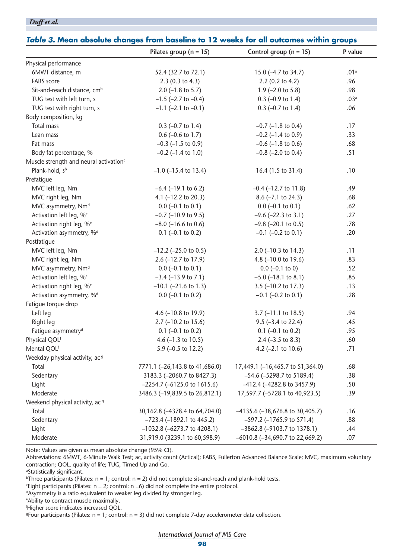#### *Duff et al.*

|                                                    | Table 3. Mean absolute changes from baseline to 12 weeks for all outcomes within groups |                                      |                  |  |  |  |
|----------------------------------------------------|-----------------------------------------------------------------------------------------|--------------------------------------|------------------|--|--|--|
|                                                    | Pilates group ( $n = 15$ )                                                              | Control group $(n = 15)$             | P value          |  |  |  |
| Physical performance                               |                                                                                         |                                      |                  |  |  |  |
| 6MWT distance, m                                   | 52.4 (32.7 to 72.1)                                                                     | 15.0 (-4.7 to 34.7)                  | .01 <sup>a</sup> |  |  |  |
| FABS score                                         | $2.3(0.3 \text{ to } 4.3)$                                                              | 2.2 (0.2 to 4.2)                     | .96              |  |  |  |
| Sit-and-reach distance, cm <sup>b</sup>            | 2.0 $(-1.8 \text{ to } 5.7)$                                                            | $1.9$ (-2.0 to 5.8)                  | .98              |  |  |  |
| TUG test with left turn, s                         | $-1.5$ ( $-2.7$ to $-0.4$ )                                                             | $0.3$ (-0.9 to 1.4)                  | .03 <sup>a</sup> |  |  |  |
| TUG test with right turn, s                        | $-1.1$ ( $-2.1$ to $-0.1$ )                                                             | $0.3$ (-0.7 to 1.4)                  | .06              |  |  |  |
| Body composition, kg                               |                                                                                         |                                      |                  |  |  |  |
| Total mass                                         | $0.3$ (-0.7 to 1.4)                                                                     | $-0.7$ ( $-1.8$ to 0.4)              | .17              |  |  |  |
| Lean mass                                          | $0.6$ (-0.6 to 1.7)                                                                     | $-0.2$ ( $-1.4$ to 0.9)              | .33              |  |  |  |
| Fat mass                                           | $-0.3$ ( $-1.5$ to 0.9)                                                                 | $-0.6$ ( $-1.8$ to 0.6)              | .68              |  |  |  |
| Body fat percentage, %                             | $-0.2$ ( $-1.4$ to $1.0$ )                                                              | $-0.8$ ( $-2.0$ to 0.4)              | .51              |  |  |  |
| Muscle strength and neural activation <sup>c</sup> |                                                                                         |                                      |                  |  |  |  |
| Plank-hold, sb                                     | $-1.0$ ( $-15.4$ to 13.4)                                                               | 16.4 (1.5 to 31.4)                   | .10              |  |  |  |
| Prefatique                                         |                                                                                         |                                      |                  |  |  |  |
| MVC left leg, Nm                                   | $-6.4$ ( $-19.1$ to 6.2)                                                                | $-0.4$ ( $-12.7$ to 11.8)            | .49              |  |  |  |
| MVC right leg, Nm                                  | 4.1 $(-12.2$ to 20.3)                                                                   | $8.6$ (-7.1 to 24.3)                 | .68              |  |  |  |
| MVC asymmetry, Nm <sup>d</sup>                     | $0.0$ (-0.1 to 0.1)                                                                     | $0.0$ (-0.1 to 0.1)                  | .62              |  |  |  |
| Activation left leg, % <sup>e</sup>                | $-0.7$ ( $-10.9$ to 9.5)                                                                | $-9.6$ ( $-22.3$ to 3.1)             | .27              |  |  |  |
| Activation right leg, % <sup>e</sup>               | $-8.0$ ( $-16.6$ to 0.6)                                                                | $-9.8$ ( $-20.1$ to 0.5)             | .78              |  |  |  |
| Activation asymmetry, % <sup>d</sup>               | $0.1$ (-0.1 to 0.2)                                                                     | $-0.1$ ( $-0.2$ to 0.1)              | .20              |  |  |  |
| Postfatigue                                        |                                                                                         |                                      |                  |  |  |  |
| MVC left leg, Nm                                   | $-12.2$ ( $-25.0$ to 0.5)                                                               | 2.0 $(-10.3$ to 14.3)                | .11              |  |  |  |
| MVC right leg, Nm                                  | 2.6 (-12.7 to 17.9)                                                                     | 4.8 (-10.0 to 19.6)                  | .83              |  |  |  |
| MVC asymmetry, Nm <sup>d</sup>                     | $0.0$ (-0.1 to 0.1)                                                                     | $0.0$ (-0.1 to 0)                    | .52              |  |  |  |
| Activation left leg, % <sup>e</sup>                | $-3.4$ ( $-13.9$ to 7.1)                                                                | $-5.0$ ( $-18.1$ to 8.1)             | .85              |  |  |  |
| Activation right leg, % <sup>e</sup>               | $-10.1$ ( $-21.6$ to 1.3)                                                               | 3.5 (-10.2 to 17.3)                  | .13              |  |  |  |
| Activation asymmetry, %d                           | $0.0$ (-0.1 to 0.2)                                                                     | $-0.1$ ( $-0.2$ to 0.1)              | .28              |  |  |  |
| Fatigue torque drop                                |                                                                                         |                                      |                  |  |  |  |
| Left leg                                           | 4.6 (-10.8 to 19.9)                                                                     | $3.7$ (-11.1 to 18.5)                | .94              |  |  |  |
| Right leg                                          | 2.7 (-10.2 to 15.6)                                                                     | $9.5$ (-3.4 to 22.4)                 | .45              |  |  |  |
| Fatigue asymmetry <sup>d</sup>                     | $0.1$ (-0.1 to 0.2)                                                                     | $0.1$ (-0.1 to 0.2)                  | .95              |  |  |  |
| Physical QOLf                                      | 4.6 $(-1.3 \text{ to } 10.5)$                                                           | $2.4$ (-3.5 to 8.3)                  | .60              |  |  |  |
| Mental QOLf                                        | 5.9 (-0.5 to 12.2)                                                                      | 4.2 $(-2.1 \text{ to } 10.6)$        | .71              |  |  |  |
| Weekday physical activity, ac <sup>9</sup>         |                                                                                         |                                      |                  |  |  |  |
| Total                                              | 7771.1 (-26,143.8 to 41,686.0)                                                          | 17,449.1 (-16,465.7 to 51,364.0)     | .68              |  |  |  |
| Sedentary                                          | 3183.3 (-2060.7 to 8427.3)                                                              | -54.6 (-5298.7 to 5189.4)            | .38              |  |  |  |
| Light                                              | $-2254.7$ ( $-6125.0$ to 1615.6)                                                        | $-412.4$ ( $-4282.8$ to 3457.9)      | .50              |  |  |  |
| Moderate                                           | 3486.3 (-19,839.5 to 26,812.1)                                                          | 17,597.7 (-5728.1 to 40,923.5)       | .39              |  |  |  |
| Weekend physical activity, ac <sup>9</sup>         |                                                                                         |                                      |                  |  |  |  |
| Total                                              | 30,162.8 (-4378.4 to 64,704.0)                                                          | $-4135.6$ ( $-38,676.8$ to 30,405.7) | .16              |  |  |  |
| Sedentary                                          | $-723.4$ (-1892.1 to 445.2)                                                             | $-597.2$ ( $-1765.9$ to 571.4)       | .88              |  |  |  |
| Light                                              | $-1032.8$ ( $-6273.7$ to 4208.1)                                                        | -3862.8 (-9103.7 to 1378.1)          | .44              |  |  |  |
| Moderate                                           | 31,919.0 (3239.1 to 60,598.9)                                                           | -6010.8 (-34,690.7 to 22,669.2)      | .07              |  |  |  |

Note: Values are given as mean absolute change (95% CI).

Abbreviations: 6MWT, 6-Minute Walk Test; ac, activity count (Actical); FABS, Fullerton Advanced Balance Scale; MVC, maximum voluntary contraction; QOL, quality of life; TUG, Timed Up and Go.

a Statistically significant.

 $b$ Three participants (Pilates: n = 1; control: n = 2) did not complete sit-and-reach and plank-hold tests.

Eight participants (Pilates:  $n = 2$ ; control:  $n = 6$ ) did not complete the entire protocol.

dAsymmetry is a ratio equivalent to weaker leg divided by stronger leg.

e Ability to contract muscle maximally.

f Higher score indicates increased QOL.

 $9$ Four participants (Pilates:  $n = 1$ ; control:  $n = 3$ ) did not complete 7-day accelerometer data collection.

*International Journal of MS Care*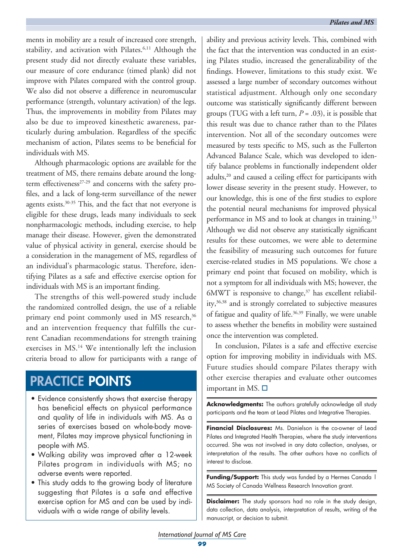ments in mobility are a result of increased core strength, stability, and activation with Pilates.<sup>6,11</sup> Although the present study did not directly evaluate these variables, our measure of core endurance (timed plank) did not improve with Pilates compared with the control group. We also did not observe a difference in neuromuscular performance (strength, voluntary activation) of the legs. Thus, the improvements in mobility from Pilates may also be due to improved kinesthetic awareness, particularly during ambulation. Regardless of the specific mechanism of action, Pilates seems to be beneficial for individuals with MS.

Although pharmacologic options are available for the treatment of MS, there remains debate around the longterm effectiveness<sup>27-29</sup> and concerns with the safety profiles, and a lack of long-term surveillance of the newer agents exists.30-35 This, and the fact that not everyone is eligible for these drugs, leads many individuals to seek nonpharmacologic methods, including exercise, to help manage their disease. However, given the demonstrated value of physical activity in general, exercise should be a consideration in the management of MS, regardless of an individual's pharmacologic status. Therefore, identifying Pilates as a safe and effective exercise option for individuals with MS is an important finding.

The strengths of this well-powered study include the randomized controlled design, the use of a reliable primary end point commonly used in MS research,<sup>36</sup> and an intervention frequency that fulfills the current Canadian recommendations for strength training exercises in MS.14 We intentionally left the inclusion criteria broad to allow for participants with a range of

# PRACTICE POINTS

- Evidence consistently shows that exercise therapy has beneficial effects on physical performance and quality of life in individuals with MS. As a series of exercises based on whole-body movement, Pilates may improve physical functioning in people with MS.
- Walking ability was improved after a 12-week Pilates program in individuals with MS; no adverse events were reported.
- This study adds to the growing body of literature suggesting that Pilates is a safe and effective exercise option for MS and can be used by individuals with a wide range of ability levels.

ability and previous activity levels. This, combined with the fact that the intervention was conducted in an existing Pilates studio, increased the generalizability of the findings. However, limitations to this study exist. We assessed a large number of secondary outcomes without statistical adjustment. Although only one secondary outcome was statistically significantly different between groups (TUG with a left turn,  $P = .03$ ), it is possible that this result was due to chance rather than to the Pilates intervention. Not all of the secondary outcomes were measured by tests specific to MS, such as the Fullerton Advanced Balance Scale, which was developed to identify balance problems in functionally independent older adults,<sup>20</sup> and caused a ceiling effect for participants with lower disease severity in the present study. However, to our knowledge, this is one of the first studies to explore the potential neural mechanisms for improved physical performance in MS and to look at changes in training.<sup>13</sup> Although we did not observe any statistically significant results for these outcomes, we were able to determine the feasibility of measuring such outcomes for future exercise-related studies in MS populations. We chose a primary end point that focused on mobility, which is not a symptom for all individuals with MS; however, the  $6MWT$  is responsive to change, $37$  has excellent reliability,36,38 and is strongly correlated to subjective measures of fatigue and quality of life.<sup>36,39</sup> Finally, we were unable to assess whether the benefits in mobility were sustained once the intervention was completed.

In conclusion, Pilates is a safe and effective exercise option for improving mobility in individuals with MS. Future studies should compare Pilates therapy with other exercise therapies and evaluate other outcomes important in MS.  $\Box$ 

**Acknowledgments:** The authors gratefully acknowledge all study participants and the team at Lead Pilates and Integrative Therapies.

**Financial Disclosures:** Ms. Danielson is the co-owner of Lead Pilates and Integrated Health Therapies, where the study interventions occurred. She was not involved in any data collection, analyses, or interpretation of the results. The other authors have no conflicts of interest to disclose.

**Funding/Support:** This study was funded by a Hermes Canada | MS Society of Canada Wellness Research Innovation grant.

**Disclaimer:** The study sponsors had no role in the study design, data collection, data analysis, interpretation of results, writing of the manuscript, or decision to submit.